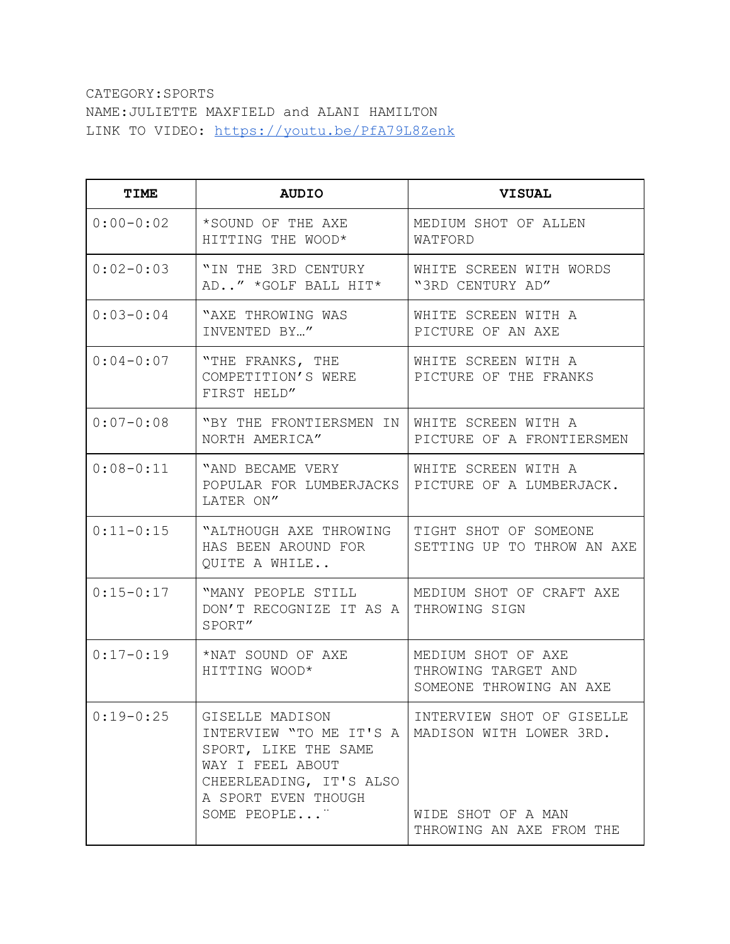## CATEGORY:SPORTS NAME:JULIETTE MAXFIELD and ALANI HAMILTON LINK TO VIDEO: <https://youtu.be/PfA79L8Zenk>

| TIME          | <b>AUDIO</b>                                                                                                                                             | <b>VISUAL</b>                                                                                          |
|---------------|----------------------------------------------------------------------------------------------------------------------------------------------------------|--------------------------------------------------------------------------------------------------------|
| $0:00-0:02$   | *SOUND OF THE AXE<br>HITTING THE WOOD*                                                                                                                   | MEDIUM SHOT OF ALLEN<br>WATFORD                                                                        |
| $0:02-0:03$   | "IN THE 3RD CENTURY<br>AD" *GOLF BALL HIT*                                                                                                               | WHITE SCREEN WITH WORDS<br>"3RD CENTURY AD"                                                            |
| $0:03-0:04$   | "AXE THROWING WAS<br>INVENTED BY"                                                                                                                        | WHITE SCREEN WITH A<br>PICTURE OF AN AXE                                                               |
| $0:04 - 0:07$ | "THE FRANKS, THE<br>COMPETITION'S WERE<br>FIRST HELD"                                                                                                    | WHITE SCREEN WITH A<br>PICTURE OF THE FRANKS                                                           |
| $0:07-0:08$   | "BY THE FRONTIERSMEN IN<br>NORTH AMERICA"                                                                                                                | WHITE SCREEN WITH A<br>PICTURE OF A FRONTIERSMEN                                                       |
| $0:08 - 0:11$ | "AND BECAME VERY<br>POPULAR FOR LUMBERJACKS<br>LATER ON"                                                                                                 | WHITE SCREEN WITH A<br>PICTURE OF A LUMBERJACK.                                                        |
| $0:11-0:15$   | "ALTHOUGH AXE THROWING<br>HAS BEEN AROUND FOR<br>QUITE A WHILE                                                                                           | TIGHT SHOT OF SOMEONE<br>SETTING UP TO THROW AN AXE                                                    |
| $0:15 - 0:17$ | "MANY PEOPLE STILL<br>DON'T RECOGNIZE IT AS A<br>SPORT"                                                                                                  | MEDIUM SHOT OF CRAFT AXE<br>THROWING SIGN                                                              |
| $0:17-0:19$   | *NAT SOUND OF AXE<br>HITTING WOOD*                                                                                                                       | MEDIUM SHOT OF AXE<br>THROWING TARGET AND<br>SOMEONE THROWING AN AXE                                   |
| $0:19-0:25$   | GISELLE MADISON<br>INTERVIEW "TO ME IT'S A<br>SPORT, LIKE THE SAME<br>WAY I FEEL ABOUT<br>CHEERLEADING, IT'S ALSO<br>A SPORT EVEN THOUGH<br>SOME PEOPLE" | INTERVIEW SHOT OF GISELLE<br>MADISON WITH LOWER 3RD.<br>WIDE SHOT OF A MAN<br>THROWING AN AXE FROM THE |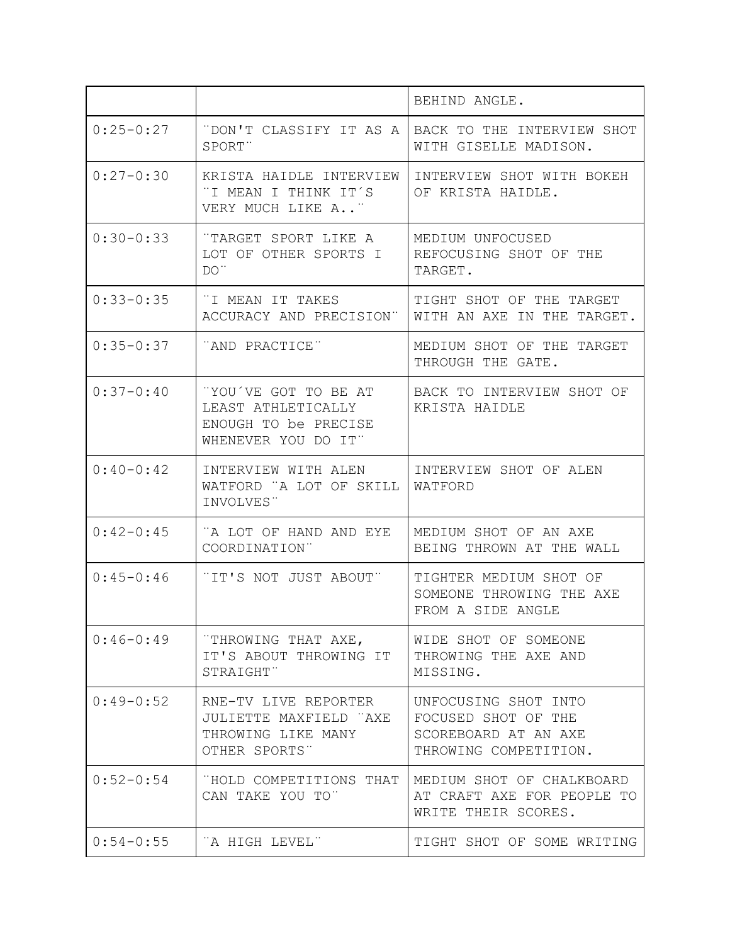|               |                                                                                           | BEHIND ANGLE.                                                                                |
|---------------|-------------------------------------------------------------------------------------------|----------------------------------------------------------------------------------------------|
| $0:25-0:27$   | "DON'T CLASSIFY IT AS A<br>SPORT"                                                         | BACK TO THE INTERVIEW SHOT<br>WITH GISELLE MADISON.                                          |
| $0:27 - 0:30$ | KRISTA HAIDLE INTERVIEW<br>"I MEAN I THINK IT´S<br>VERY MUCH LIKE A"                      | INTERVIEW SHOT WITH BOKEH<br>OF KRISTA HAIDLE.                                               |
| $0:30-0:33$   | "TARGET SPORT LIKE A<br>LOT OF OTHER SPORTS I<br>$DO$                                     | MEDIUM UNFOCUSED<br>REFOCUSING SHOT OF THE<br>TARGET.                                        |
| $0:33 - 0:35$ | "I MEAN IT TAKES<br>ACCURACY AND PRECISION"                                               | TIGHT SHOT OF THE TARGET<br>WITH AN AXE IN THE TARGET.                                       |
| $0:35 - 0:37$ | "AND PRACTICE"                                                                            | MEDIUM SHOT OF THE<br>TARGET<br>THROUGH THE GATE.                                            |
| $0:37-0:40$   | "YOU'VE GOT TO BE AT<br>LEAST ATHLETICALLY<br>ENOUGH TO be PRECISE<br>WHENEVER YOU DO IT" | BACK TO INTERVIEW SHOT OF<br>KRISTA HAIDLE                                                   |
| $0:40-0:42$   | INTERVIEW WITH ALEN<br>WATFORD "A LOT OF SKILL<br>INVOLVES"                               | INTERVIEW SHOT OF ALEN<br>WATFORD                                                            |
| $0:42-0:45$   | "A LOT OF HAND AND EYE<br>COORDINATION"                                                   | MEDIUM SHOT OF AN AXE<br>BEING THROWN AT THE WALL                                            |
| $0:45 - 0:46$ | "IT'S NOT JUST ABOUT"                                                                     | TIGHTER MEDIUM SHOT OF<br>SOMEONE THROWING THE AXE<br>FROM A SIDE ANGLE                      |
| $0:46-0:49$   | "THROWING THAT AXE,<br>IT'S ABOUT THROWING IT<br>STRAIGHT"                                | WIDE SHOT OF SOMEONE<br>THROWING THE AXE AND<br>MISSING.                                     |
| $0:49-0:52$   | RNE-TV LIVE REPORTER<br>JULIETTE MAXFIELD "AXE<br>THROWING LIKE MANY<br>OTHER SPORTS"     | UNFOCUSING SHOT INTO<br>FOCUSED SHOT OF THE<br>SCOREBOARD AT AN AXE<br>THROWING COMPETITION. |
| $0:52 - 0:54$ | "HOLD COMPETITIONS THAT<br>CAN TAKE YOU TO"                                               | MEDIUM SHOT OF CHALKBOARD<br>AT CRAFT AXE FOR PEOPLE TO<br>WRITE THEIR SCORES.               |
| $0:54 - 0:55$ | "A HIGH LEVEL"                                                                            | TIGHT SHOT OF SOME WRITING                                                                   |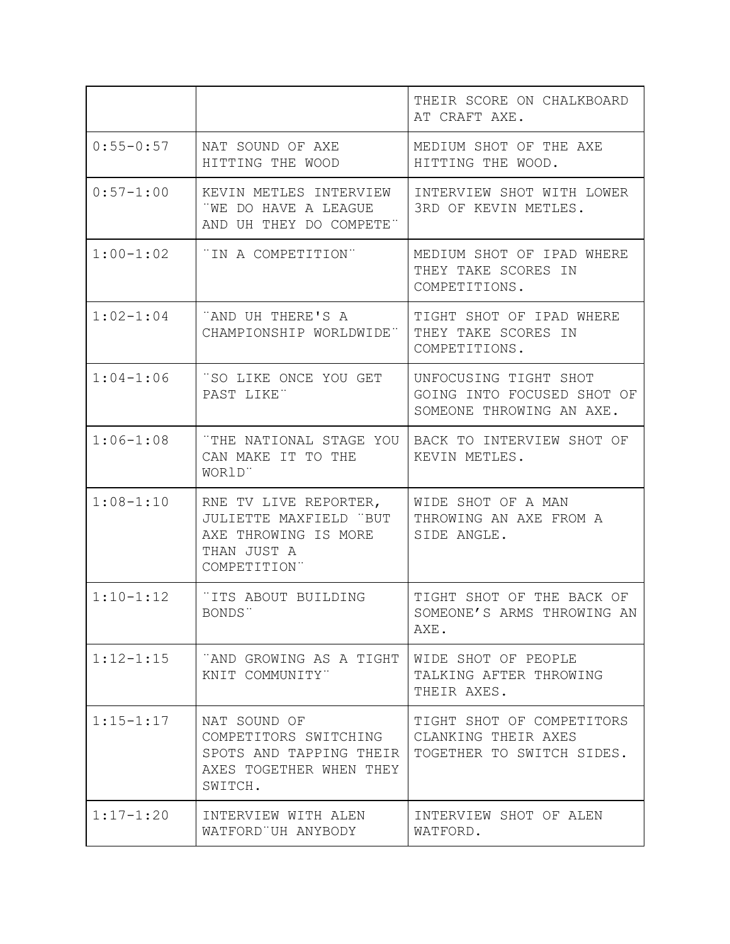|               |                                                                                                        | THEIR SCORE ON CHALKBOARD<br>AT CRAFT AXE.                                      |
|---------------|--------------------------------------------------------------------------------------------------------|---------------------------------------------------------------------------------|
| $0:55 - 0:57$ | NAT SOUND OF AXE<br>HITTING THE WOOD                                                                   | MEDIUM SHOT OF THE AXE<br>HITTING THE WOOD.                                     |
| $0:57 - 1:00$ | KEVIN METLES INTERVIEW<br>"WE DO HAVE A LEAGUE<br>AND UH THEY DO COMPETE"                              | INTERVIEW SHOT WITH LOWER<br>3RD OF KEVIN METLES.                               |
| $1:00-1:02$   | "IN A COMPETITION"                                                                                     | MEDIUM SHOT OF IPAD WHERE<br>THEY TAKE SCORES IN<br>COMPETITIONS.               |
| $1:02-1:04$   | "AND UH THERE'S A<br>CHAMPIONSHIP WORLDWIDE"                                                           | TIGHT SHOT OF IPAD WHERE<br>THEY TAKE SCORES IN<br>COMPETITIONS.                |
| $1:04-1:06$   | "SO LIKE ONCE YOU GET<br>PAST LIKE"                                                                    | UNFOCUSING TIGHT SHOT<br>GOING INTO FOCUSED SHOT OF<br>SOMEONE THROWING AN AXE. |
| $1:06 - 1:08$ | "THE NATIONAL STAGE YOU<br>CAN MAKE IT TO THE<br>WOR1D"                                                | BACK TO INTERVIEW SHOT OF<br>KEVIN METLES.                                      |
| $1:08 - 1:10$ | RNE TV LIVE REPORTER,<br>JULIETTE MAXFIELD "BUT<br>AXE THROWING IS MORE<br>THAN JUST A<br>COMPETITION" | WIDE SHOT OF A MAN<br>THROWING AN AXE FROM A<br>SIDE ANGLE.                     |
| $1:10-1:12$   | "ITS ABOUT BUILDING<br>BONDS"                                                                          | TIGHT SHOT OF THE BACK OF<br>SOMEONE'S ARMS THROWING AN<br>AXE.                 |
| $1:12 - 1:15$ | "AND GROWING AS A TIGHT<br>KNIT COMMUNITY"                                                             | WIDE SHOT OF PEOPLE<br>TALKING AFTER THROWING<br>THEIR AXES.                    |
| $1:15 - 1:17$ | NAT SOUND OF<br>COMPETITORS SWITCHING<br>SPOTS AND TAPPING THEIR<br>AXES TOGETHER WHEN THEY<br>SWITCH. | TIGHT SHOT OF COMPETITORS<br>CLANKING THEIR AXES<br>TOGETHER TO SWITCH SIDES.   |
| $1:17 - 1:20$ | INTERVIEW WITH ALEN<br>WATFORD UH ANYBODY                                                              | INTERVIEW SHOT OF ALEN<br>WATFORD.                                              |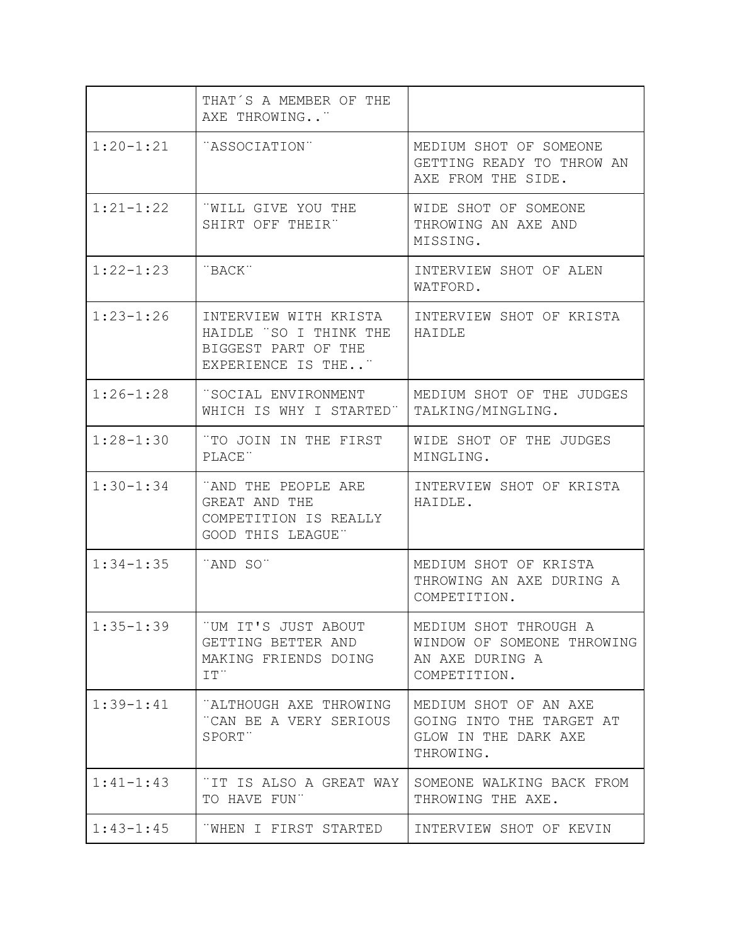|               | THAT'S A MEMBER OF THE<br>AXE THROWING"                                                      |                                                                                        |
|---------------|----------------------------------------------------------------------------------------------|----------------------------------------------------------------------------------------|
| $1:20 - 1:21$ | "ASSOCIATION"                                                                                | MEDIUM SHOT OF SOMEONE<br>GETTING READY TO THROW AN<br>AXE FROM THE SIDE.              |
| $1:21 - 1:22$ | "WILL GIVE YOU THE<br>SHIRT OFF THEIR"                                                       | WIDE SHOT OF SOMEONE<br>THROWING AN AXE AND<br>MISSING.                                |
| $1:22 - 1:23$ | "BACK"                                                                                       | INTERVIEW SHOT OF ALEN<br>WATFORD.                                                     |
| $1:23 - 1:26$ | INTERVIEW WITH KRISTA<br>HAIDLE "SO I THINK THE<br>BIGGEST PART OF THE<br>EXPERIENCE IS THE" | INTERVIEW SHOT OF KRISTA<br>HAIDLE                                                     |
| $1:26 - 1:28$ | "SOCIAL ENVIRONMENT<br>WHICH IS WHY I STARTED"                                               | MEDIUM SHOT OF THE JUDGES<br>TALKING/MINGLING.                                         |
| $1:28 - 1:30$ | "TO JOIN IN THE FIRST<br>PLACE"                                                              | WIDE SHOT OF THE JUDGES<br>MINGLING.                                                   |
| $1:30-1:34$   | "AND THE PEOPLE ARE<br>GREAT AND THE<br>COMPETITION IS REALLY<br>GOOD THIS LEAGUE"           | INTERVIEW SHOT OF KRISTA<br>HAIDLE.                                                    |
| $1:34-1:35$   | "AND SO"                                                                                     | MEDIUM SHOT OF KRISTA<br>THROWING AN AXE DURING A<br>COMPETITION.                      |
| $1:35 - 1:39$ | 'UM IT'S JUST ABOUT<br>GETTING BETTER AND<br>MAKING FRIENDS DOING<br>IT''                    | MEDIUM SHOT THROUGH A<br>WINDOW OF SOMEONE THROWING<br>AN AXE DURING A<br>COMPETITION. |
| $1:39 - 1:41$ | "ALTHOUGH AXE THROWING<br>"CAN BE A VERY SERIOUS<br>SPORT"                                   | MEDIUM SHOT OF AN AXE<br>GOING INTO THE TARGET AT<br>GLOW IN THE DARK AXE<br>THROWING. |
| $1:41 - 1:43$ | TIT IS ALSO A GREAT WAY<br>TO HAVE FUN"                                                      | SOMEONE WALKING BACK FROM<br>THROWING THE AXE.                                         |
| $1:43 - 1:45$ | WHEN I FIRST STARTED                                                                         | INTERVIEW SHOT OF KEVIN                                                                |